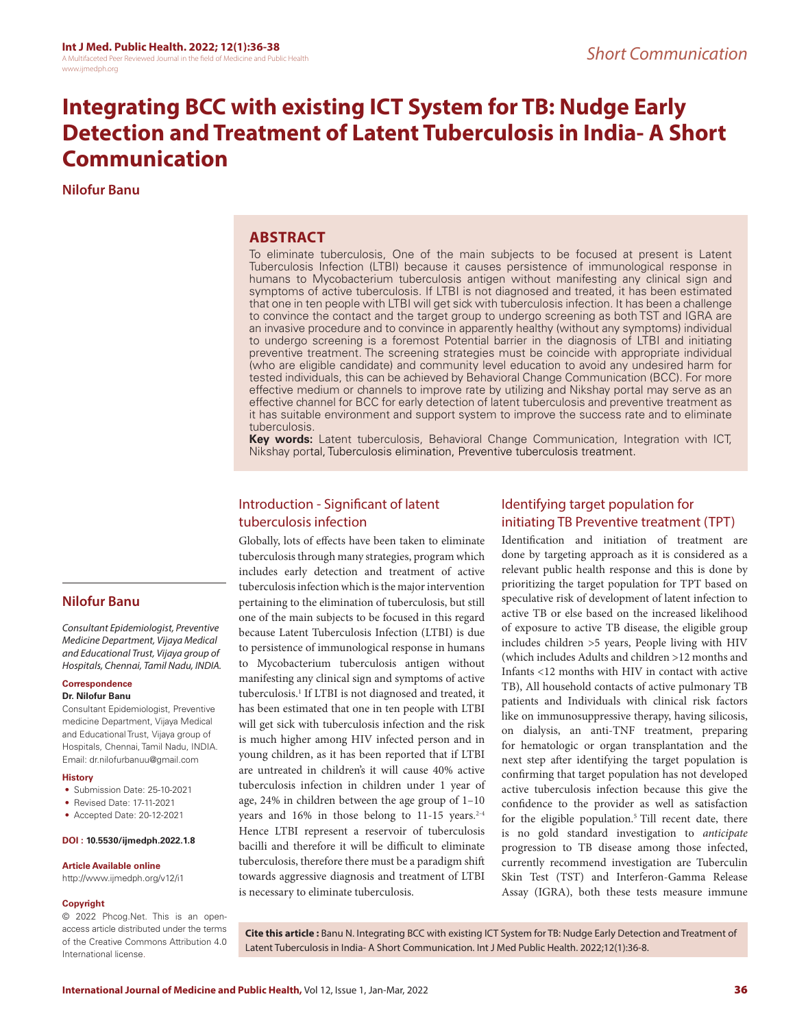# **Integrating BCC with existing ICT System for TB: Nudge Early Detection and Treatment of Latent Tuberculosis in India- A Short Communication**

**Nilofur Banu**

## **ABSTRACT**

To eliminate tuberculosis, One of the main subjects to be focused at present is Latent Tuberculosis Infection (LTBI) because it causes persistence of immunological response in humans to Mycobacterium tuberculosis antigen without manifesting any clinical sign and symptoms of active tuberculosis. If LTBI is not diagnosed and treated, it has been estimated that one in ten people with LTBI will get sick with tuberculosis infection. It has been a challenge to convince the contact and the target group to undergo screening as both TST and IGRA are an invasive procedure and to convince in apparently healthy (without any symptoms) individual to undergo screening is a foremost Potential barrier in the diagnosis of LTBI and initiating preventive treatment. The screening strategies must be coincide with appropriate individual (who are eligible candidate) and community level education to avoid any undesired harm for tested individuals, this can be achieved by Behavioral Change Communication (BCC). For more effective medium or channels to improve rate by utilizing and Nikshay portal may serve as an effective channel for BCC for early detection of latent tuberculosis and preventive treatment as it has suitable environment and support system to improve the success rate and to eliminate tuberculosis.

**Key words:** Latent tuberculosis, Behavioral Change Communication, Integration with ICT, Nikshay portal, Tuberculosis elimination, Preventive tuberculosis treatment.

## Introduction - Significant of latent tuberculosis infection

Globally, lots of effects have been taken to eliminate tuberculosis through many strategies, program which includes early detection and treatment of active tuberculosis infection which is the major intervention pertaining to the elimination of tuberculosis, but still one of the main subjects to be focused in this regard because Latent Tuberculosis Infection (LTBI) is due to persistence of immunological response in humans to Mycobacterium tuberculosis antigen without manifesting any clinical sign and symptoms of active tuberculosis.<sup>1</sup> If LTBI is not diagnosed and treated, it has been estimated that one in ten people with LTBI will get sick with tuberculosis infection and the risk is much higher among HIV infected person and in young children, as it has been reported that if LTBI are untreated in children's it will cause 40% active tuberculosis infection in children under 1 year of age, 24% in children between the age group of 1–10 years and 16% in those belong to 11-15 years. 2-4 Hence LTBI represent a reservoir of tuberculosis bacilli and therefore it will be difficult to eliminate tuberculosis, therefore there must be a paradigm shift towards aggressive diagnosis and treatment of LTBI is necessary to eliminate tuberculosis.

## Identifying target population for initiating TB Preventive treatment (TPT)

Identification and initiation of treatment are done by targeting approach as it is considered as a relevant public health response and this is done by prioritizing the target population for TPT based on speculative risk of development of latent infection to active TB or else based on the increased likelihood of exposure to active TB disease, the eligible group includes children >5 years, People living with HIV (which includes Adults and children >12 months and Infants <12 months with HIV in contact with active TB), All household contacts of active pulmonary TB patients and Individuals with clinical risk factors like on immunosuppressive therapy, having silicosis, on dialysis, an anti-TNF treatment, preparing for hematologic or organ transplantation and the next step after identifying the target population is confirming that target population has not developed active tuberculosis infection because this give the confidence to the provider as well as satisfaction for the eligible population.<sup>5</sup> Till recent date, there is no gold standard investigation to *anticipate*  progression to TB disease among those infected, currently recommend investigation are Tuberculin Skin Test (TST) and Interferon-Gamma Release Assay (IGRA), both these tests measure immune

### **Nilofur Banu**

*Consultant Epidemiologist, Preventive Medicine Department, Vijaya Medical and Educational Trust, Vijaya group of Hospitals, Chennai, Tamil Nadu, INDIA.* 

#### **Correspondence**

#### **Dr. Nilofur Banu**

Consultant Epidemiologist, Preventive medicine Department, Vijaya Medical and Educational Trust, Vijaya group of Hospitals, Chennai, Tamil Nadu, INDIA. Email: dr.nilofurbanuu@gmail.com

### **History**

- Submission Date: 25-10-2021
- Revised Date: 17-11-2021
- Accepted Date: 20-12-2021

#### **DOI : 10.5530/ijmedph.2022.1.8**

#### **Article Available online**

http://www.ijmedph.org/v12/i1

#### **Copyright**

© 2022 Phcog.Net. This is an openaccess article distributed under the terms of the Creative Commons Attribution 4.0 International license.

**Cite this article :** Banu N. Integrating BCC with existing ICT System for TB: Nudge Early Detection and Treatment of Latent Tuberculosis in India- A Short Communication. Int J Med Public Health. 2022;12(1):36-8.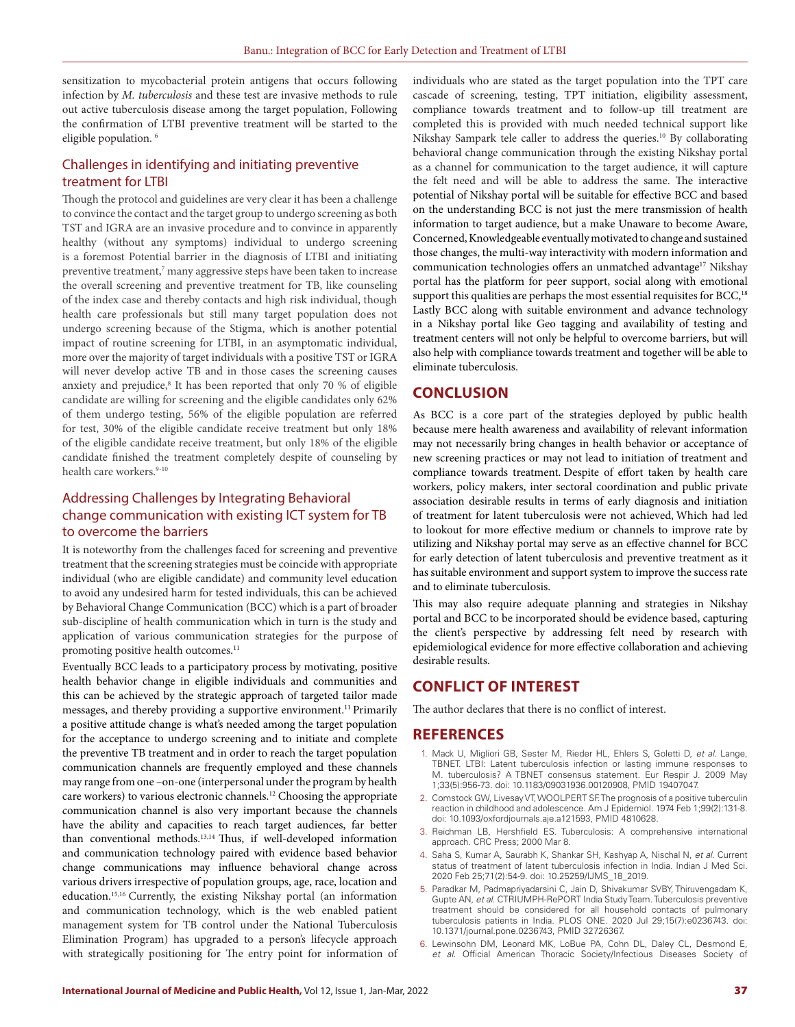sensitization to mycobacterial protein antigens that occurs following infection by *M. tuberculosis* and these test are invasive methods to rule out active tuberculosis disease among the target population, Following the confirmation of LTBI preventive treatment will be started to the eligible population. 6

### Challenges in identifying and initiating preventive treatment for LTBI

Though the protocol and guidelines are very clear it has been a challenge to convince the contact and the target group to undergo screening as both TST and IGRA are an invasive procedure and to convince in apparently healthy (without any symptoms) individual to undergo screening is a foremost Potential barrier in the diagnosis of LTBI and initiating preventive treatment,<sup>7</sup> many aggressive steps have been taken to increase the overall screening and preventive treatment for TB, like counseling of the index case and thereby contacts and high risk individual, though health care professionals but still many target population does not undergo screening because of the Stigma, which is another potential impact of routine screening for LTBI, in an asymptomatic individual, more over the majority of target individuals with a positive TST or IGRA will never develop active TB and in those cases the screening causes anxiety and prejudice,<sup>8</sup> It has been reported that only 70 % of eligible candidate are willing for screening and the eligible candidates only 62% of them undergo testing, 56% of the eligible population are referred for test, 30% of the eligible candidate receive treatment but only 18% of the eligible candidate receive treatment, but only 18% of the eligible candidate finished the treatment completely despite of counseling by health care workers.<sup>9-10</sup>

### Addressing Challenges by Integrating Behavioral change communication with existing ICT system for TB to overcome the barriers

It is noteworthy from the challenges faced for screening and preventive treatment that the screening strategies must be coincide with appropriate individual (who are eligible candidate) and community level education to avoid any undesired harm for tested individuals, this can be achieved by Behavioral Change Communication (BCC) which is a part of broader sub-discipline of health communication which in turn is the study and application of various communication strategies for the purpose of promoting positive health outcomes.<sup>11</sup>

Eventually BCC leads to a participatory process by motivating, positive health behavior change in eligible individuals and communities and this can be achieved by the strategic approach of targeted tailor made messages, and thereby providing a supportive environment.<sup>11</sup> Primarily a positive attitude change is what's needed among the target population for the acceptance to undergo screening and to initiate and complete the preventive TB treatment and in order to reach the target population communication channels are frequently employed and these channels may range from one –on-one (interpersonal under the program by health care workers) to various electronic channels.12 Choosing the appropriate communication channel is also very important because the channels have the ability and capacities to reach target audiences, far better than conventional methods.13,14 Thus, if well-developed information and communication technology paired with evidence based behavior change communications may influence behavioral change across various drivers irrespective of population groups, age, race, location and education.15,16 Currently, the existing Nikshay portal (an information and communication technology, which is the web enabled patient management system for TB control under the National Tuberculosis Elimination Program) has upgraded to a person's lifecycle approach with strategically positioning for The entry point for information of individuals who are stated as the target population into the TPT care cascade of screening, testing, TPT initiation, eligibility assessment, compliance towards treatment and to follow-up till treatment are completed this is provided with much needed technical support like Nikshay Sampark tele caller to address the queries.<sup>10</sup> By collaborating behavioral change communication through the existing Nikshay portal as a channel for communication to the target audience, it will capture the felt need and will be able to address the same. The interactive potential of Nikshay portal will be suitable for effective BCC and based on the understanding BCC is not just the mere transmission of health information to target audience, but a make Unaware to become Aware, Concerned, Knowledgeable eventually motivated to change and sustained those changes, the multi-way interactivity with modern information and communication technologies offers an unmatched advantage<sup>17</sup> Nikshay portal has the platform for peer support, social along with emotional support this qualities are perhaps the most essential requisites for BCC,<sup>18</sup> Lastly BCC along with suitable environment and advance technology in a Nikshay portal like Geo tagging and availability of testing and treatment centers will not only be helpful to overcome barriers, but will also help with compliance towards treatment and together will be able to eliminate tuberculosis.

## **CONCLUSION**

As BCC is a core part of the strategies deployed by public health because mere health awareness and availability of relevant information may not necessarily bring changes in health behavior or acceptance of new screening practices or may not lead to initiation of treatment and compliance towards treatment. Despite of effort taken by health care workers, policy makers, inter sectoral coordination and public private association desirable results in terms of early diagnosis and initiation of treatment for latent tuberculosis were not achieved, Which had led to lookout for more effective medium or channels to improve rate by utilizing and Nikshay portal may serve as an effective channel for BCC for early detection of latent tuberculosis and preventive treatment as it has suitable environment and support system to improve the success rate and to eliminate tuberculosis.

This may also require adequate planning and strategies in Nikshay portal and BCC to be incorporated should be evidence based, capturing the client's perspective by addressing felt need by research with epidemiological evidence for more effective collaboration and achieving desirable results.

# **CONFLICT OF INTEREST**

The author declares that there is no conflict of interest.

### **REFERENCES**

- 1. Mack U, Migliori GB, Sester M, Rieder HL, Ehlers S, Goletti D, *et al*. Lange, TBNET. LTBI: Latent tuberculosis infection or lasting immune responses to M. tuberculosis? A TBNET consensus statement. Eur Respir J. 2009 May 1;33(5):956-73. doi: 10.1183/09031936.00120908, PMID 19407047.
- 2. Comstock GW, Livesay VT, WOOLPERT SF. The prognosis of a positive tuberculin reaction in childhood and adolescence. Am J Epidemiol. 1974 Feb 1;99(2):131-8. doi: 10.1093/oxfordjournals.aje.a121593, PMID 4810628.
- 3. Reichman LB, Hershfield ES. Tuberculosis: A comprehensive international approach. CRC Press; 2000 Mar 8.
- 4. Saha S, Kumar A, Saurabh K, Shankar SH, Kashyap A, Nischal N, *et al*. Current status of treatment of latent tuberculosis infection in India. Indian J Med Sci. 2020 Feb 25;71(2):54-9. doi: 10.25259/IJMS\_18\_2019.
- 5. Paradkar M, Padmapriyadarsini C, Jain D, Shivakumar SVBY, Thiruvengadam K, Gupte AN, *et al*. CTRIUMPH-RePORT India Study Team. Tuberculosis preventive treatment should be considered for all household contacts of pulmonary tuberculosis patients in India. PLOS ONE. 2020 Jul 29;15(7):e0236743. doi: 10.1371/journal.pone.0236743, PMID 32726367.
- 6. Lewinsohn DM, Leonard MK, LoBue PA, Cohn DL, Daley CL, Desmond E, *et al*. Official American Thoracic Society/Infectious Diseases Society of